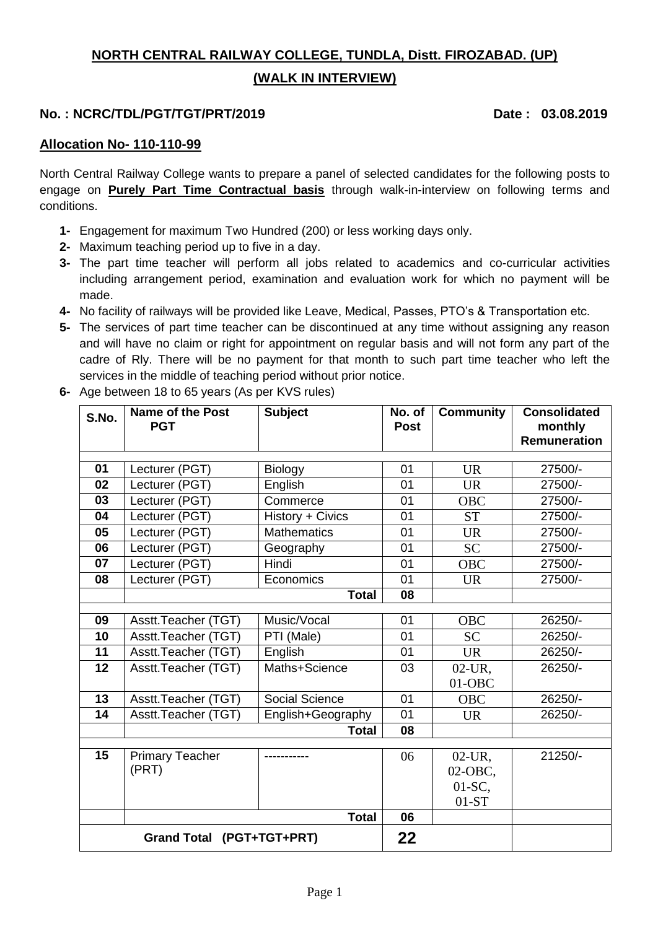## **NORTH CENTRAL RAILWAY COLLEGE, TUNDLA, Distt. FIROZABAD. (UP) (WALK IN INTERVIEW)**

### **No. : NCRC/TDL/PGT/TGT/PRT/2019 Date : 03.08.2019**

#### **Allocation No- 110-110-99**

North Central Railway College wants to prepare a panel of selected candidates for the following posts to engage on **Purely Part Time Contractual basis** through walk-in-interview on following terms and conditions.

- **1-** Engagement for maximum Two Hundred (200) or less working days only.
- **2-** Maximum teaching period up to five in a day.
- **3-** The part time teacher will perform all jobs related to academics and co-curricular activities including arrangement period, examination and evaluation work for which no payment will be made.
- **4-** No facility of railways will be provided like Leave, Medical, Passes, PTO's & Transportation etc.
- **5-** The services of part time teacher can be discontinued at any time without assigning any reason and will have no claim or right for appointment on regular basis and will not form any part of the cadre of Rly. There will be no payment for that month to such part time teacher who left the services in the middle of teaching period without prior notice.
- **6-** Age between 18 to 65 years (As per KVS rules)

| S.No.                     | Name of the Post<br><b>PGT</b>  | <b>Subject</b>        | No. of<br><b>Post</b> | <b>Community</b> | <b>Consolidated</b><br>monthly |  |
|---------------------------|---------------------------------|-----------------------|-----------------------|------------------|--------------------------------|--|
|                           |                                 |                       |                       |                  | <b>Remuneration</b>            |  |
| 01                        | Lecturer (PGT)                  | Biology               | 01                    | <b>UR</b>        | 27500/-                        |  |
| 02                        | Lecturer (PGT)                  | English               |                       | <b>UR</b>        | 27500/-                        |  |
| 03                        | Lecturer (PGT)                  | Commerce              | 01<br>01              | OBC              | 27500/-                        |  |
| 04                        | Lecturer (PGT)                  | History + Civics      | 01                    | <b>ST</b>        | 27500/-                        |  |
| 05                        | Lecturer (PGT)                  | <b>Mathematics</b>    | 01                    | <b>UR</b>        | 27500/-                        |  |
| 06                        | Lecturer (PGT)                  | Geography             | 01                    | <b>SC</b>        | 27500/-                        |  |
| 07                        | Lecturer (PGT)                  | Hindi                 | 01                    | <b>OBC</b>       | 27500/-                        |  |
| 08                        | Lecturer (PGT)                  | Economics             | 01                    | UR.              | 27500/-                        |  |
|                           |                                 | <b>Total</b>          | 08                    |                  |                                |  |
|                           |                                 |                       |                       |                  |                                |  |
| 09                        | Asstt.Teacher (TGT)             | Music/Vocal           | 01                    | <b>OBC</b>       | 26250/-                        |  |
| 10                        | Asstt.Teacher (TGT)             | PTI (Male)            | 01                    | <b>SC</b>        | 26250/-                        |  |
| 11                        | Asstt.Teacher (TGT)             | English               | 01                    | <b>UR</b>        | 26250/-                        |  |
| 12                        | Asstt.Teacher (TGT)             | Maths+Science         | 03                    | $02$ -UR,        | 26250/-                        |  |
|                           |                                 |                       |                       | $01-OBC$         |                                |  |
| 13                        | Asstt.Teacher (TGT)             | <b>Social Science</b> | 01                    | <b>OBC</b>       | 26250/-                        |  |
| 14                        | Asstt.Teacher (TGT)             | English+Geography     | 01                    | <b>UR</b>        | 26250/-                        |  |
|                           |                                 | <b>Total</b>          | 08                    |                  |                                |  |
|                           |                                 |                       |                       |                  |                                |  |
| 15                        | <b>Primary Teacher</b><br>(PRT) |                       | 06                    | $02$ -UR,        | 21250/-                        |  |
|                           |                                 |                       |                       | 02-OBC,          |                                |  |
|                           |                                 |                       |                       | $01-SC$ ,        |                                |  |
|                           |                                 | <b>Total</b>          |                       | $01-ST$          |                                |  |
|                           |                                 | 06                    |                       |                  |                                |  |
| Grand Total (PGT+TGT+PRT) |                                 |                       |                       |                  |                                |  |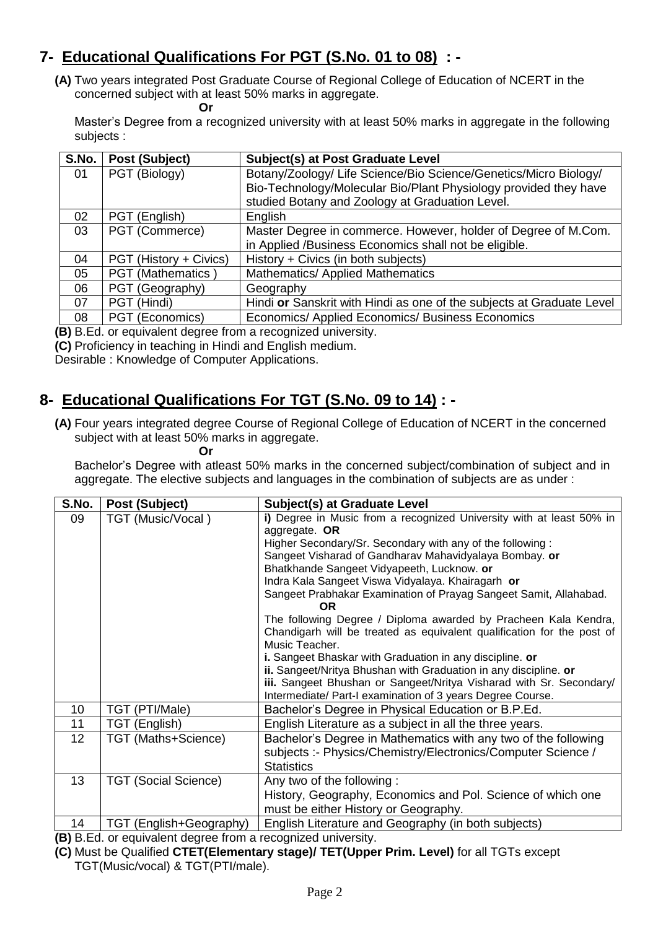# **7- Educational Qualifications For PGT (S.No. 01 to 08) : -**

**(A)** Two years integrated Post Graduate Course of Regional College of Education of NCERT in the concerned subject with at least 50% marks in aggregate.

**Or Contract Contract Or** 

Master's Degree from a recognized university with at least 50% marks in aggregate in the following subjects :

| S.No. | Post (Subject)         | <b>Subject(s) at Post Graduate Level</b>                              |
|-------|------------------------|-----------------------------------------------------------------------|
| 01    | PGT (Biology)          | Botany/Zoology/ Life Science/Bio Science/Genetics/Micro Biology/      |
|       |                        | Bio-Technology/Molecular Bio/Plant Physiology provided they have      |
|       |                        | studied Botany and Zoology at Graduation Level.                       |
| 02    | PGT (English)          | English                                                               |
| 03    | PGT (Commerce)         | Master Degree in commerce. However, holder of Degree of M.Com.        |
|       |                        | in Applied /Business Economics shall not be eligible.                 |
| 04    | PGT (History + Civics) | History + Civics (in both subjects)                                   |
| 05    | PGT (Mathematics)      | Mathematics/ Applied Mathematics                                      |
| 06    | PGT (Geography)        | Geography                                                             |
| 07    | PGT (Hindi)            | Hindi or Sanskrit with Hindi as one of the subjects at Graduate Level |
| 08    | PGT (Economics)        | Economics/ Applied Economics/ Business Economics                      |

**(B)** B.Ed. or equivalent degree from a recognized university.

**(C)** Proficiency in teaching in Hindi and English medium.

Desirable : Knowledge of Computer Applications.

## **8- Educational Qualifications For TGT (S.No. 09 to 14) : -**

**(A)** Four years integrated degree Course of Regional College of Education of NCERT in the concerned subject with at least 50% marks in aggregate.<br>Or

**Or Or** 

Bachelor's Degree with atleast 50% marks in the concerned subject/combination of subject and in aggregate. The elective subjects and languages in the combination of subjects are as under :

| S.No.           | Post (Subject)              | Subject(s) at Graduate Level                                                                                                                                                                                                                                                                                                                                                                                                                                                                                                                                                                                                                                                               |
|-----------------|-----------------------------|--------------------------------------------------------------------------------------------------------------------------------------------------------------------------------------------------------------------------------------------------------------------------------------------------------------------------------------------------------------------------------------------------------------------------------------------------------------------------------------------------------------------------------------------------------------------------------------------------------------------------------------------------------------------------------------------|
| 09              | TGT (Music/Vocal)           | i) Degree in Music from a recognized University with at least 50% in<br>aggregate. OR<br>Higher Secondary/Sr. Secondary with any of the following:<br>Sangeet Visharad of Gandharav Mahavidyalaya Bombay. or<br>Bhatkhande Sangeet Vidyapeeth, Lucknow. or<br>Indra Kala Sangeet Viswa Vidyalaya. Khairagarh or<br>Sangeet Prabhakar Examination of Prayag Sangeet Samit, Allahabad.<br>OR.<br>The following Degree / Diploma awarded by Pracheen Kala Kendra,<br>Chandigarh will be treated as equivalent qualification for the post of<br>Music Teacher.<br>i. Sangeet Bhaskar with Graduation in any discipline. or<br>ii. Sangeet/Nritya Bhushan with Graduation in any discipline. or |
|                 |                             | iii. Sangeet Bhushan or Sangeet/Nritya Visharad with Sr. Secondary/<br>Intermediate/ Part-I examination of 3 years Degree Course.                                                                                                                                                                                                                                                                                                                                                                                                                                                                                                                                                          |
| 10              | TGT (PTI/Male)              | Bachelor's Degree in Physical Education or B.P.Ed.                                                                                                                                                                                                                                                                                                                                                                                                                                                                                                                                                                                                                                         |
| 11              | TGT (English)               | English Literature as a subject in all the three years.                                                                                                                                                                                                                                                                                                                                                                                                                                                                                                                                                                                                                                    |
| 12 <sub>2</sub> | TGT (Maths+Science)         | Bachelor's Degree in Mathematics with any two of the following<br>subjects :- Physics/Chemistry/Electronics/Computer Science /<br><b>Statistics</b>                                                                                                                                                                                                                                                                                                                                                                                                                                                                                                                                        |
| 13              | <b>TGT (Social Science)</b> | Any two of the following:<br>History, Geography, Economics and Pol. Science of which one<br>must be either History or Geography.                                                                                                                                                                                                                                                                                                                                                                                                                                                                                                                                                           |
| 14<br>ו היה והי | TGT (English+Geography)     | English Literature and Geography (in both subjects)<br>المتحاولة والمستحدث والمتحدث والمستنقذ والمستحدث والمتناور                                                                                                                                                                                                                                                                                                                                                                                                                                                                                                                                                                          |

**(B)** B.Ed. or equivalent degree from a recognized university.

**(C)** Must be Qualified **CTET(Elementary stage)/ TET(Upper Prim. Level)** for all TGTs except TGT(Music/vocal) & TGT(PTI/male).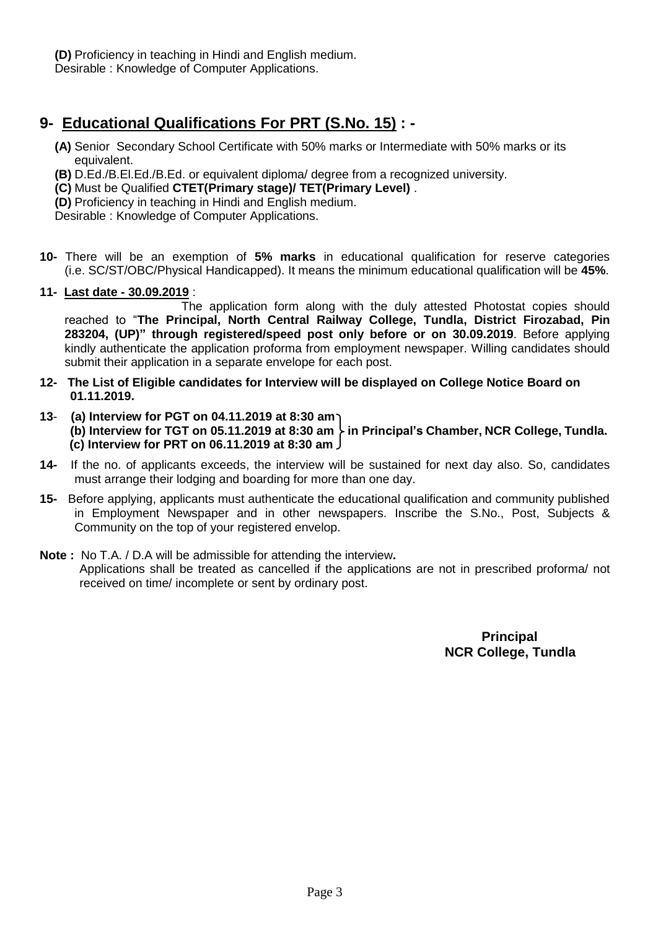**(D)** Proficiency in teaching in Hindi and English medium. Desirable : Knowledge of Computer Applications.

### **9- Educational Qualifications For PRT (S.No. 15) : -**

- **(A)** Senior Secondary School Certificate with 50% marks or Intermediate with 50% marks or its equivalent.
- **(B)** D.Ed./B.El.Ed./B.Ed. or equivalent diploma/ degree from a recognized university.
- **(C)** Must be Qualified **CTET(Primary stage)/ TET(Primary Level)** .
- **(D)** Proficiency in teaching in Hindi and English medium.

Desirable : Knowledge of Computer Applications.

- **10-** There will be an exemption of **5% marks** in educational qualification for reserve categories (i.e. SC/ST/OBC/Physical Handicapped). It means the minimum educational qualification will be **45%**.
- **11- Last date - 30.09.2019** :

The application form along with the duly attested Photostat copies should reached to "**The Principal, North Central Railway College, Tundla, District Firozabad, Pin 283204, (UP)" through registered/speed post only before or on 30.09.2019**. Before applying kindly authenticate the application proforma from employment newspaper. Willing candidates should submit their application in a separate envelope for each post.

- **12- The List of Eligible candidates for Interview will be displayed on College Notice Board on 01.11.2019.**
- **13 (a) Interview for PGT on 04.11.2019 at 8:30 am (b) Interview for TGT** on 05.11.2019 at 8:30 am  $\frac{1}{2}$  in Principal's Chamber, NCR College, Tundla. **(c) Interview for PRT on 06.11.2019 at 8:30 am**
- **14-** If the no. of applicants exceeds, the interview will be sustained for next day also. So, candidates must arrange their lodging and boarding for more than one day.
- **15-** Before applying, applicants must authenticate the educational qualification and community published in Employment Newspaper and in other newspapers. Inscribe the S.No., Post, Subjects & Community on the top of your registered envelop.
- **Note :** No T.A. / D.A will be admissible for attending the interview**.** Applications shall be treated as cancelled if the applications are not in prescribed proforma/ not received on time/ incomplete or sent by ordinary post.

**Principal Principal NCR College, Tundla**